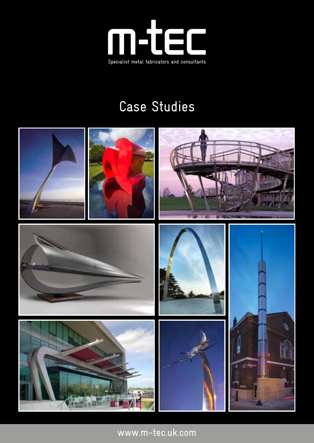

#### Case Studies



www.m-tec.uk.com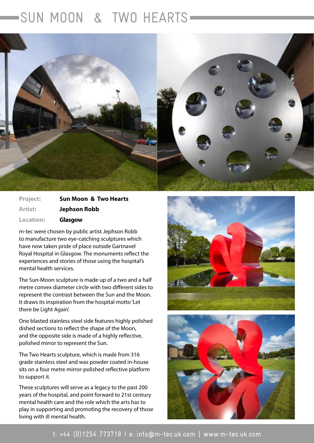#### SUN MOON & TWO HEARTS

۰



| <b>Project:</b>  | <b>Sun Moon &amp; Two Hearts</b> |
|------------------|----------------------------------|
| <b>Artist:</b>   | <b>Jephson Robb</b>              |
| <b>Location:</b> | Glasgow                          |

m-tec were chosen by public artist Jephson Robb to manufacture two eye-catching sculptures which have now taken pride of place outside Gartnavel Royal Hospital in Glasgow. The monuments reflect the experiences and stories of those using the hospital's mental health services.

The Sun-Moon sculpture is made up of a two and a half metre convex diameter circle with two different sides to represent the contrast between the Sun and the Moon. It draws its inspiration from the hospital motto 'Let there be Light Again'.

One blasted stainless steel side features highly polished dished sections to reflect the shape of the Moon, and the opposite side is made of a highly reflective, polished mirror to represent the Sun.

The Two Hearts sculpture, which is made from 316 grade stainless steel and was powder coated in-house sits on a four metre mirror-polished reflective platform to support it.

These sculptures will serve as a legacy to the past 200 years of the hospital, and point forward to 21st century mental health care and the role which the arts has to play in supporting and promoting the recovery of those living with ill mental health.



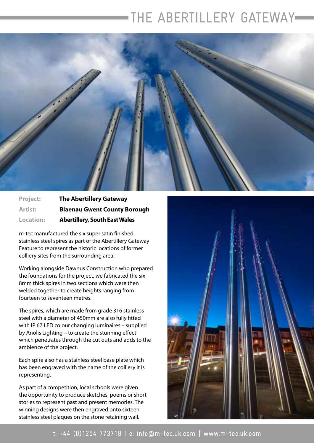# THE ABERTILLERY GATEWAY



**Project: The Abertillery Gateway Artist: Blaenau Gwent County Borough Location: Abertillery, South East Wales**

m-tec manufactured the six super satin finished stainless steel spires as part of the Abertillery Gateway Feature to represent the historic locations of former colliery sites from the surrounding area.

Working alongside Dawnus Construction who prepared the foundations for the project, we fabricated the six 8mm thick spires in two sections which were then welded together to create heights ranging from fourteen to seventeen metres.

The spires, which are made from grade 316 stainless steel with a diameter of 450mm are also fully fitted with IP 67 LED colour changing luminaires – supplied by Anolis Lighting – to create the stunning effect which penetrates through the cut outs and adds to the ambience of the project.

Each spire also has a stainless steel base plate which has been engraved with the name of the colliery it is representing.

As part of a competition, local schools were given the opportunity to produce sketches, poems or short stories to represent past and present memories. The winning designs were then engraved onto sixteen stainless steel plaques on the stone retaining wall.

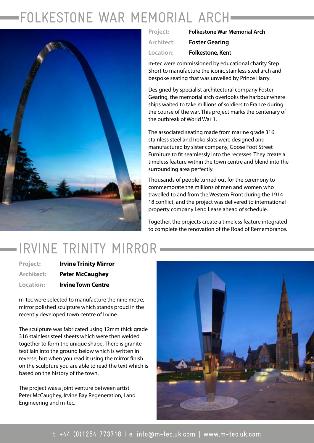# FOLKESTONE WAR MEMORIAL ARCH



| Project:   | <b>Folkestone War Memorial Arch</b> |
|------------|-------------------------------------|
| Architect: | <b>Foster Gearing</b>               |
| Location:  | <b>Folkestone, Kent</b>             |

m-tec were commissioned by educational charity Step Short to manufacture the iconic stainless steel arch and bespoke seating that was unveiled by Prince Harry.

Designed by specialist architectural company Foster Gearing, the memorial arch overlooks the harbour where ships waited to take millions of soldiers to France during the course of the war. This project marks the centenary of the outbreak of World War 1.

The associated seating made from marine grade 316 stainless steel and Iroko slats were designed and manufactured by sister company, Goose Foot Street Furniture to fit seamlessly into the recesses. They create a timeless feature within the town centre and blend into the surrounding area perfectly.

Thousands of people turned out for the ceremony to commemorate the millions of men and women who travelled to and from the Western Front during the 1914- 18 conflict, and the project was delivered to international property company Lend Lease ahead of schedule.

Together, the projects create a timeless feature integrated to complete the renovation of the Road of Remembrance.

### - IRVINE TRINITY MIRROR-

| <b>Project:</b>   | <b>Irvine Trinity Mirror</b> |
|-------------------|------------------------------|
| <b>Architect:</b> | <b>Peter McCaughey</b>       |
| <b>Location:</b>  | <b>Irvine Town Centre</b>    |

m-tec were selected to manufacture the nine metre, mirror polished sculpture which stands proud in the recently developed town centre of Irvine.

The sculpture was fabricated using 12mm thick grade 316 stainless steel sheets which were then welded together to form the unique shape. There is granite text lain into the ground below which is written in reverse, but when you read it using the mirror finish on the sculpture you are able to read the text which is based on the history of the town.

The project was a joint venture between artist Peter McCaughey, Irvine Bay Regeneration, Land Engineering and m-tec.

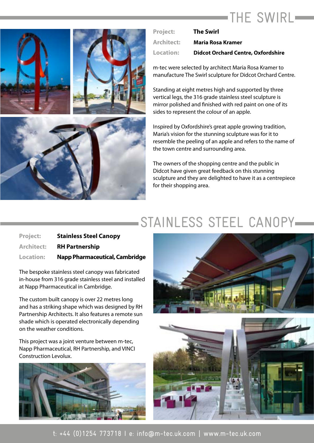# THE SWIRL-



| <b>Project:</b>   | <b>The Swirl</b>                          |
|-------------------|-------------------------------------------|
| <b>Architect:</b> | <b>Maria Rosa Kramer</b>                  |
| Location:         | <b>Didcot Orchard Centre, Oxfordshire</b> |

m-tec were selected by architect Maria Rosa Kramer to manufacture The Swirl sculpture for Didcot Orchard Centre.

Standing at eight metres high and supported by three vertical legs, the 316 grade stainless steel sculpture is mirror polished and finished with red paint on one of its sides to represent the colour of an apple.

Inspired by Oxfordshire's great apple growing tradition, Maria's vision for the stunning sculpture was for it to resemble the peeling of an apple and refers to the name of the town centre and surrounding area.

The owners of the shopping centre and the public in Didcot have given great feedback on this stunning sculpture and they are delighted to have it as a centrepiece for their shopping area.

#### STAINLESS STEEL CANOPY

| <b>Project:</b>  | <b>Stainless Steel Canopy</b>  |
|------------------|--------------------------------|
| Architect:       | <b>RH Partnership</b>          |
| <b>Location:</b> | Napp Pharmaceutical, Cambridge |

The bespoke stainless steel canopy was fabricated in-house from 316 grade stainless steel and installed at Napp Pharmaceutical in Cambridge.

The custom built canopy is over 22 metres long and has a striking shape which was designed by RH Partnership Architects. It also features a remote sun shade which is operated electronically depending on the weather conditions.

This project was a joint venture between m-tec, Napp Pharmaceutical, RH Partnership, and VINCI Construction Levolux.



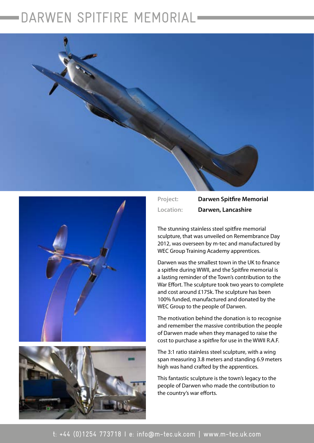# DARWEN SPITFIRE MEMORIAL







**Project: Darwen Spitfire Memorial Location: Darwen, Lancashire**

The stunning stainless steel spitfire memorial sculpture, that was unveiled on Remembrance Day 2012, was overseen by m-tec and manufactured by WEC Group Training Academy apprentices.

Darwen was the smallest town in the UK to finance a spitfire during WWII, and the Spitfire memorial is a lasting reminder of the Town's contribution to the War Effort. The sculpture took two years to complete and cost around £175k. The sculpture has been 100% funded, manufactured and donated by the WEC Group to the people of Darwen.

The motivation behind the donation is to recognise and remember the massive contribution the people of Darwen made when they managed to raise the cost to purchase a spitfire for use in the WWII R.A.F.

The 3:1 ratio stainless steel sculpture, with a wing span measuring 3.8 meters and standing 6.9 meters high was hand crafted by the apprentices.

This fantastic sculpture is the town's legacy to the people of Darwen who made the contribution to the country's war efforts.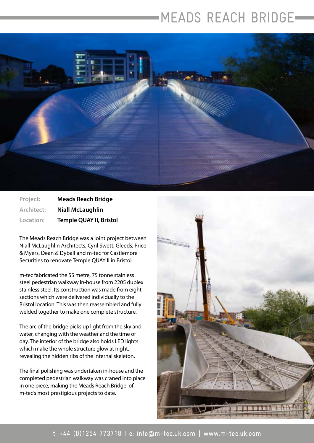## MEADS REACH BRIDGE



**Project: Meads Reach Bridge Architect: Niall McLaughlin Location: Temple QUAY II, Bristol**

The Meads Reach Bridge was a joint project between Niall McLaughlin Architects, Cyril Swett, Gleeds, Price & Myers, Dean & Dyball and m-tec for Castlemore Securities to renovate Temple QUAY II in Bristol.

m-tec fabricated the 55 metre, 75 tonne stainless steel pedestrian walkway in-house from 2205 duplex stainless steel. Its construction was made from eight sections which were delivered individually to the Bristol location. This was then reassembled and fully welded together to make one complete structure.

The arc of the bridge picks up light from the sky and water, changing with the weather and the time of day. The interior of the bridge also holds LED lights which make the whole structure glow at night, revealing the hidden ribs of the internal skeleton.

The final polishing was undertaken in-house and the completed pedestrian walkway was craned into place in one piece, making the Meads Reach Bridge of m-tec's most prestigious projects to date.